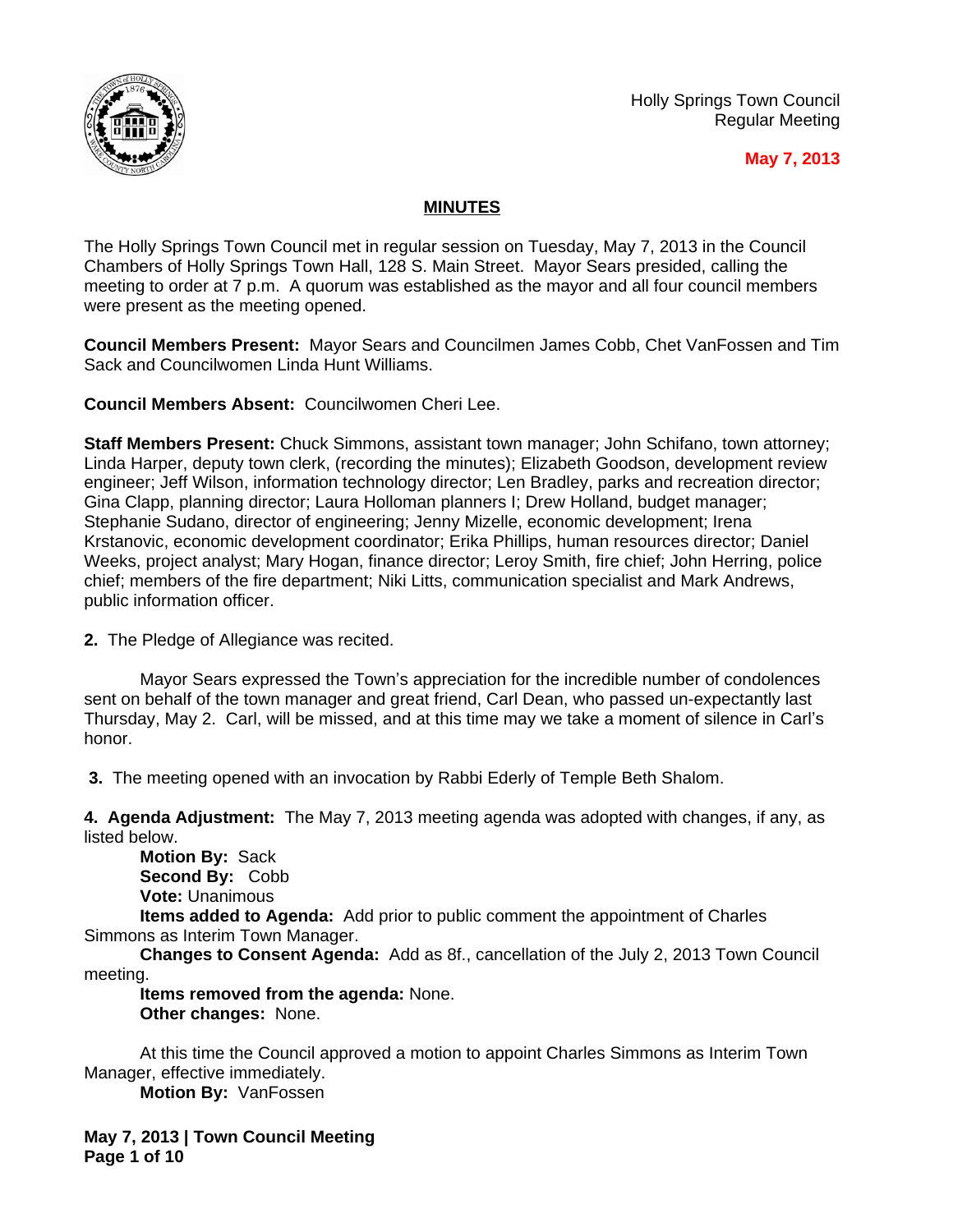

Holly Springs Town Council Regular Meeting

## **May 7, 2013**

# **MINUTES**

The Holly Springs Town Council met in regular session on Tuesday, May 7, 2013 in the Council Chambers of Holly Springs Town Hall, 128 S. Main Street. Mayor Sears presided, calling the meeting to order at 7 p.m. A quorum was established as the mayor and all four council members were present as the meeting opened.

**Council Members Present:** Mayor Sears and Councilmen James Cobb, Chet VanFossen and Tim Sack and Councilwomen Linda Hunt Williams.

**Council Members Absent:** Councilwomen Cheri Lee.

**Staff Members Present:** Chuck Simmons, assistant town manager; John Schifano, town attorney; Linda Harper, deputy town clerk, (recording the minutes); Elizabeth Goodson, development review engineer; Jeff Wilson, information technology director; Len Bradley, parks and recreation director; Gina Clapp, planning director; Laura Holloman planners I; Drew Holland, budget manager; Stephanie Sudano, director of engineering; Jenny Mizelle, economic development; Irena Krstanovic, economic development coordinator; Erika Phillips, human resources director; Daniel Weeks, project analyst; Mary Hogan, finance director; Leroy Smith, fire chief; John Herring, police chief; members of the fire department; Niki Litts, communication specialist and Mark Andrews, public information officer.

**2.** The Pledge of Allegiance was recited.

Mayor Sears expressed the Town's appreciation for the incredible number of condolences sent on behalf of the town manager and great friend, Carl Dean, who passed un-expectantly last Thursday, May 2. Carl, will be missed, and at this time may we take a moment of silence in Carl's honor.

**3.** The meeting opened with an invocation by Rabbi Ederly of Temple Beth Shalom.

**4. Agenda Adjustment:** The May 7, 2013 meeting agenda was adopted with changes, if any, as listed below.

**Motion By:** Sack **Second By:** Cobb **Vote:** Unanimous

**Items added to Agenda:** Add prior to public comment the appointment of Charles Simmons as Interim Town Manager.

**Changes to Consent Agenda:** Add as 8f., cancellation of the July 2, 2013 Town Council meeting.

**Items removed from the agenda:** None.

**Other changes:** None.

At this time the Council approved a motion to appoint Charles Simmons as Interim Town Manager, effective immediately.

**Motion By:** VanFossen

**May 7, 2013 | Town Council Meeting Page 1 of 10**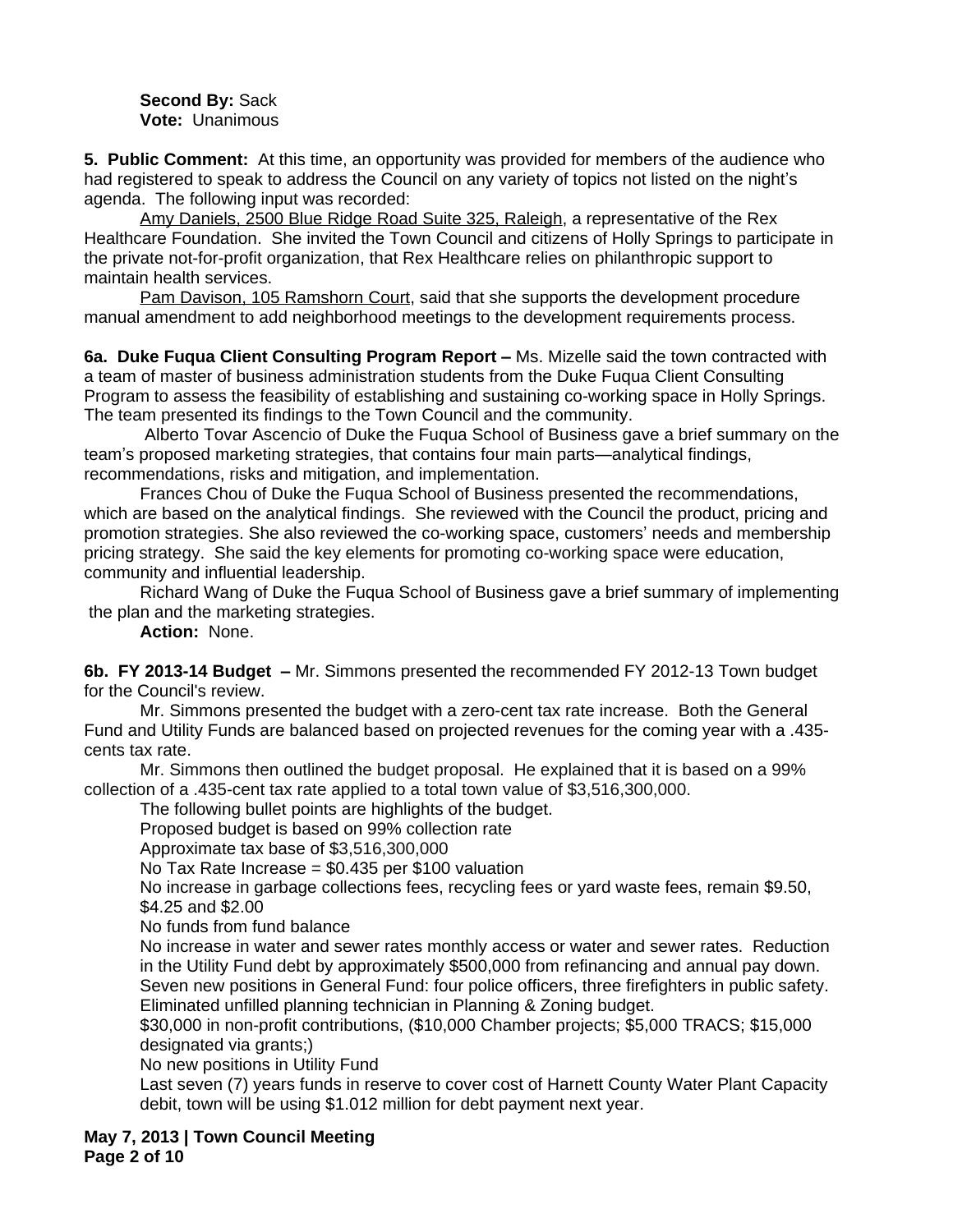**Second By:** Sack **Vote:** Unanimous

**5. Public Comment:** At this time, an opportunity was provided for members of the audience who had registered to speak to address the Council on any variety of topics not listed on the night's agenda. The following input was recorded:

Amy Daniels, 2500 Blue Ridge Road Suite 325, Raleigh, a representative of the Rex Healthcare Foundation. She invited the Town Council and citizens of Holly Springs to participate in the private not-for-profit organization, that Rex Healthcare relies on philanthropic support to maintain health services.

Pam Davison, 105 Ramshorn Court, said that she supports the development procedure manual amendment to add neighborhood meetings to the development requirements process.

**6a. Duke Fuqua Client Consulting Program Report –** Ms. Mizelle said the town contracted with a team of master of business administration students from the Duke Fuqua Client Consulting Program to assess the feasibility of establishing and sustaining co-working space in Holly Springs. The team presented its findings to the Town Council and the community.

Alberto Tovar Ascencio of Duke the Fuqua School of Business gave a brief summary on the team's proposed marketing strategies, that contains four main parts—analytical findings, recommendations, risks and mitigation, and implementation.

Frances Chou of Duke the Fuqua School of Business presented the recommendations, which are based on the analytical findings. She reviewed with the Council the product, pricing and promotion strategies. She also reviewed the co-working space, customers' needs and membership pricing strategy. She said the key elements for promoting co-working space were education, community and influential leadership.

Richard Wang of Duke the Fuqua School of Business gave a brief summary of implementing the plan and the marketing strategies.

**Action:** None.

**6b. FY 2013-14 Budget –** Mr. Simmons presented the recommended FY 2012-13 Town budget for the Council's review.

Mr. Simmons presented the budget with a zero-cent tax rate increase. Both the General Fund and Utility Funds are balanced based on projected revenues for the coming year with a .435 cents tax rate.

Mr. Simmons then outlined the budget proposal. He explained that it is based on a 99% collection of a .435-cent tax rate applied to a total town value of \$3,516,300,000.

The following bullet points are highlights of the budget.

Proposed budget is based on 99% collection rate

Approximate tax base of \$3,516,300,000

No Tax Rate Increase  $= $0.435$  per \$100 valuation

No increase in garbage collections fees, recycling fees or yard waste fees, remain \$9.50, \$4.25 and \$2.00

No funds from fund balance

No increase in water and sewer rates monthly access or water and sewer rates. Reduction in the Utility Fund debt by approximately \$500,000 from refinancing and annual pay down. Seven new positions in General Fund: four police officers, three firefighters in public safety. Eliminated unfilled planning technician in Planning & Zoning budget.

\$30,000 in non-profit contributions, (\$10,000 Chamber projects; \$5,000 TRACS; \$15,000 designated via grants;)

No new positions in Utility Fund

Last seven (7) years funds in reserve to cover cost of Harnett County Water Plant Capacity debit, town will be using \$1.012 million for debt payment next year.

**May 7, 2013 | Town Council Meeting Page 2 of 10**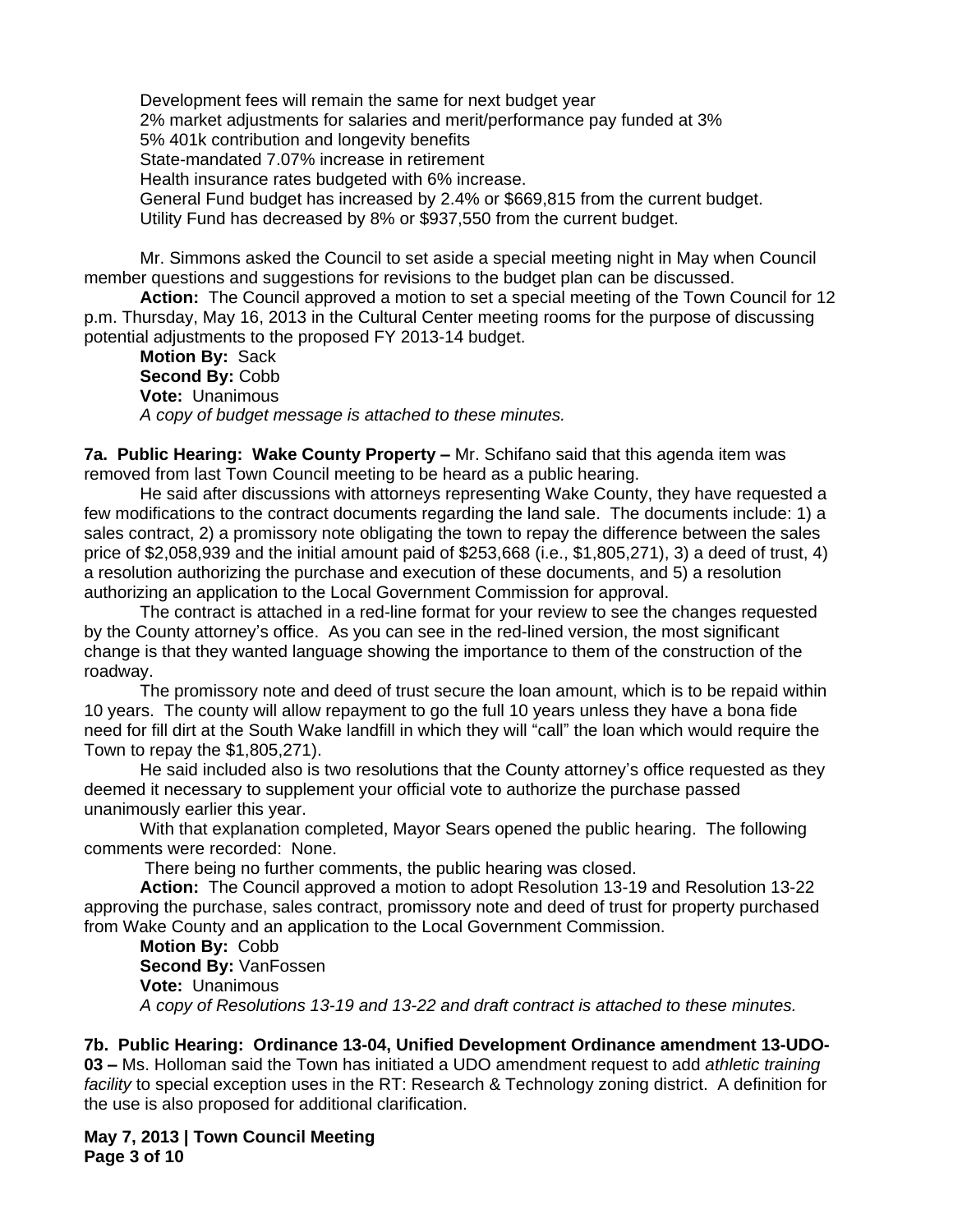Development fees will remain the same for next budget year 2% market adjustments for salaries and merit/performance pay funded at 3% 5% 401k contribution and longevity benefits State-mandated 7.07% increase in retirement Health insurance rates budgeted with 6% increase. General Fund budget has increased by 2.4% or \$669,815 from the current budget. Utility Fund has decreased by 8% or \$937,550 from the current budget.

Mr. Simmons asked the Council to set aside a special meeting night in May when Council member questions and suggestions for revisions to the budget plan can be discussed.

**Action:** The Council approved a motion to set a special meeting of the Town Council for 12 p.m. Thursday, May 16, 2013 in the Cultural Center meeting rooms for the purpose of discussing potential adjustments to the proposed FY 2013-14 budget.

**Motion By:** Sack **Second By:** Cobb **Vote:** Unanimous *A copy of budget message is attached to these minutes.*

**7a. Public Hearing: Wake County Property –** Mr. Schifano said that this agenda item was removed from last Town Council meeting to be heard as a public hearing.

He said after discussions with attorneys representing Wake County, they have requested a few modifications to the contract documents regarding the land sale. The documents include: 1) a sales contract, 2) a promissory note obligating the town to repay the difference between the sales price of \$2,058,939 and the initial amount paid of \$253,668 (i.e., \$1,805,271), 3) a deed of trust, 4) a resolution authorizing the purchase and execution of these documents, and 5) a resolution authorizing an application to the Local Government Commission for approval.

The contract is attached in a red-line format for your review to see the changes requested by the County attorney's office. As you can see in the red-lined version, the most significant change is that they wanted language showing the importance to them of the construction of the roadway.

The promissory note and deed of trust secure the loan amount, which is to be repaid within 10 years. The county will allow repayment to go the full 10 years unless they have a bona fide need for fill dirt at the South Wake landfill in which they will "call" the loan which would require the Town to repay the \$1,805,271).

He said included also is two resolutions that the County attorney's office requested as they deemed it necessary to supplement your official vote to authorize the purchase passed unanimously earlier this year.

With that explanation completed, Mayor Sears opened the public hearing. The following comments were recorded: None.

There being no further comments, the public hearing was closed.

**Action:** The Council approved a motion to adopt Resolution 13-19 and Resolution 13-22 approving the purchase, sales contract, promissory note and deed of trust for property purchased from Wake County and an application to the Local Government Commission.

**Motion By:** Cobb **Second By:** VanFossen **Vote:** Unanimous *A copy of Resolutions 13-19 and 13-22 and draft contract is attached to these minutes.*

**7b. Public Hearing: Ordinance 13-04, Unified Development Ordinance amendment 13-UDO-**

**03 –** Ms. Holloman said the Town has initiated a UDO amendment request to add *athletic training facility* to special exception uses in the RT: Research & Technology zoning district. A definition for the use is also proposed for additional clarification.

**May 7, 2013 | Town Council Meeting Page 3 of 10**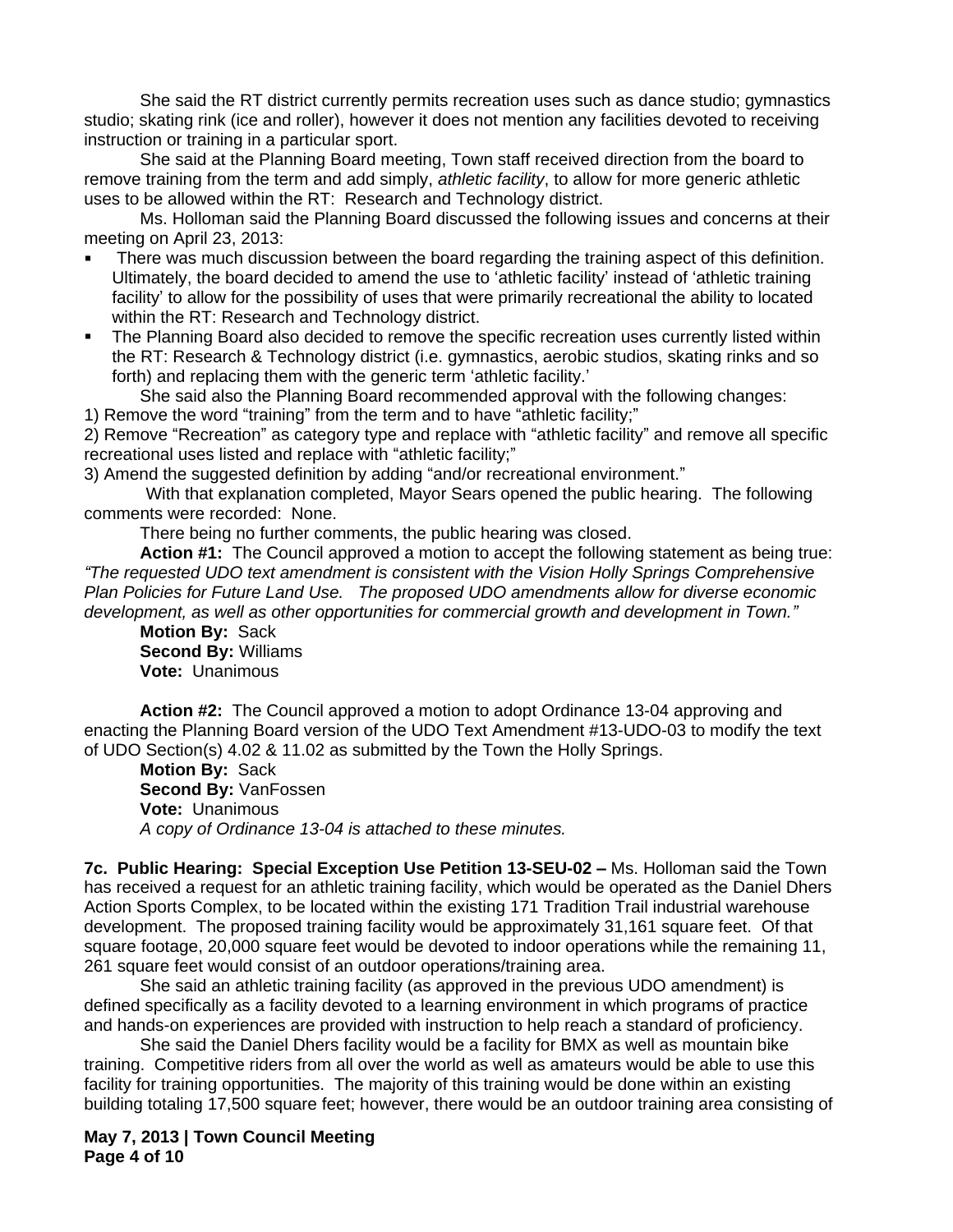She said the RT district currently permits recreation uses such as dance studio; gymnastics studio; skating rink (ice and roller), however it does not mention any facilities devoted to receiving instruction or training in a particular sport.

She said at the Planning Board meeting, Town staff received direction from the board to remove training from the term and add simply, *athletic facility*, to allow for more generic athletic uses to be allowed within the RT: Research and Technology district.

Ms. Holloman said the Planning Board discussed the following issues and concerns at their meeting on April 23, 2013:

- There was much discussion between the board regarding the training aspect of this definition. Ultimately, the board decided to amend the use to 'athletic facility' instead of 'athletic training facility' to allow for the possibility of uses that were primarily recreational the ability to located within the RT: Research and Technology district.
- The Planning Board also decided to remove the specific recreation uses currently listed within the RT: Research & Technology district (i.e. gymnastics, aerobic studios, skating rinks and so forth) and replacing them with the generic term 'athletic facility.'

She said also the Planning Board recommended approval with the following changes:

1) Remove the word "training" from the term and to have "athletic facility;"

2) Remove "Recreation" as category type and replace with "athletic facility" and remove all specific recreational uses listed and replace with "athletic facility;"

3) Amend the suggested definition by adding "and/or recreational environment."

With that explanation completed, Mayor Sears opened the public hearing. The following comments were recorded: None.

There being no further comments, the public hearing was closed.

**Action #1:** The Council approved a motion to accept the following statement as being true: *"The requested UDO text amendment is consistent with the Vision Holly Springs Comprehensive Plan Policies for Future Land Use. The proposed UDO amendments allow for diverse economic development, as well as other opportunities for commercial growth and development in Town."*

**Motion By:** Sack **Second By:** Williams **Vote:** Unanimous

**Action #2:** The Council approved a motion to adopt Ordinance 13-04 approving and enacting the Planning Board version of the UDO Text Amendment #13-UDO-03 to modify the text of UDO Section(s) 4.02 & 11.02 as submitted by the Town the Holly Springs.

**Motion By:** Sack **Second By:** VanFossen **Vote:** Unanimous *A copy of Ordinance 13-04 is attached to these minutes.*

**7c. Public Hearing: Special Exception Use Petition 13-SEU-02 –** Ms. Holloman said the Town has received a request for an athletic training facility, which would be operated as the Daniel Dhers Action Sports Complex, to be located within the existing 171 Tradition Trail industrial warehouse development. The proposed training facility would be approximately 31,161 square feet. Of that square footage, 20,000 square feet would be devoted to indoor operations while the remaining 11, 261 square feet would consist of an outdoor operations/training area.

She said an athletic training facility (as approved in the previous UDO amendment) is defined specifically as a facility devoted to a learning environment in which programs of practice and hands-on experiences are provided with instruction to help reach a standard of proficiency.

She said the Daniel Dhers facility would be a facility for BMX as well as mountain bike training. Competitive riders from all over the world as well as amateurs would be able to use this facility for training opportunities. The majority of this training would be done within an existing building totaling 17,500 square feet; however, there would be an outdoor training area consisting of

**May 7, 2013 | Town Council Meeting Page 4 of 10**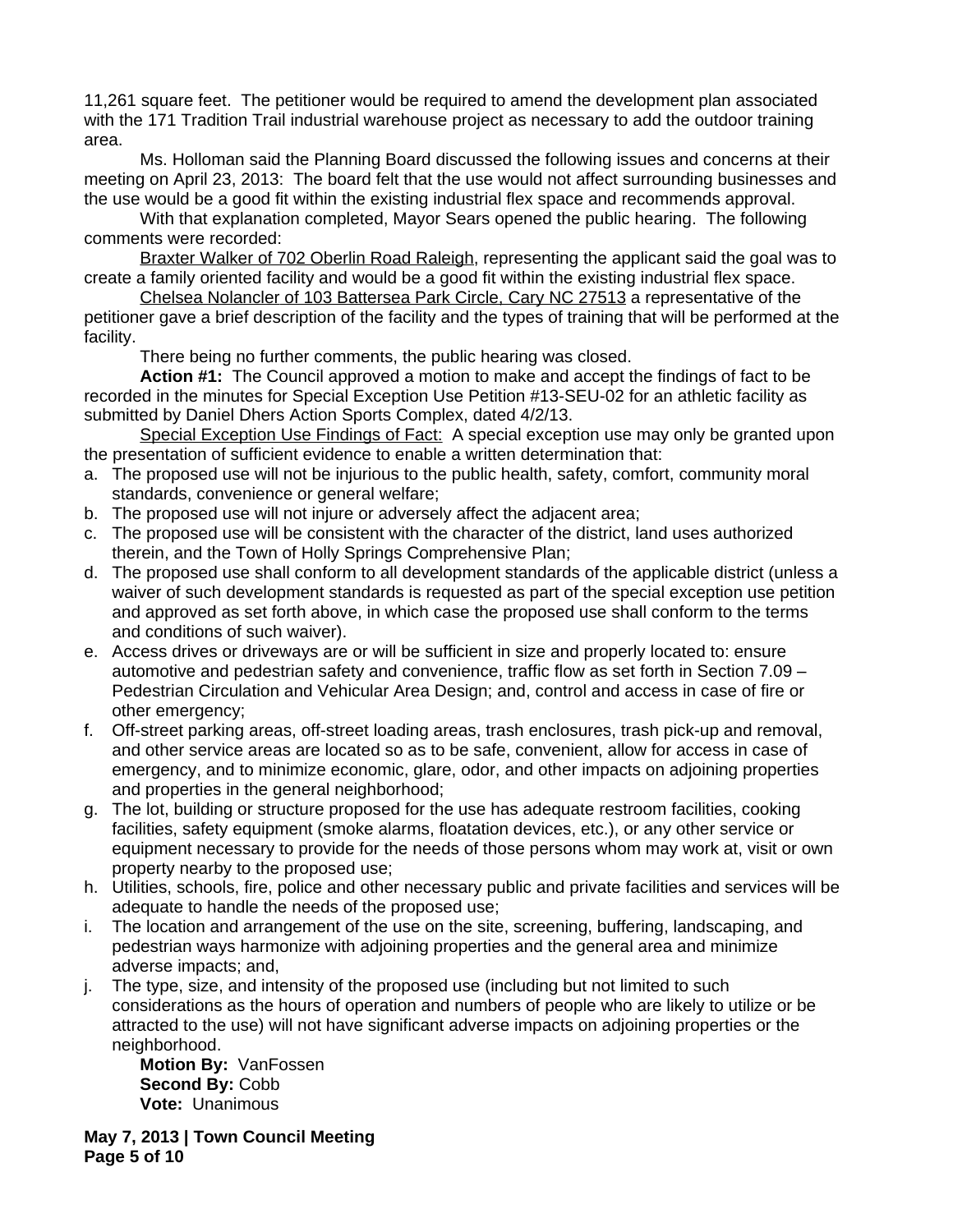11,261 square feet. The petitioner would be required to amend the development plan associated with the 171 Tradition Trail industrial warehouse project as necessary to add the outdoor training area.

Ms. Holloman said the Planning Board discussed the following issues and concerns at their meeting on April 23, 2013: The board felt that the use would not affect surrounding businesses and the use would be a good fit within the existing industrial flex space and recommends approval.

With that explanation completed, Mayor Sears opened the public hearing. The following comments were recorded:

Braxter Walker of 702 Oberlin Road Raleigh, representing the applicant said the goal was to create a family oriented facility and would be a good fit within the existing industrial flex space.

Chelsea Nolancler of 103 Battersea Park Circle, Cary NC 27513 a representative of the petitioner gave a brief description of the facility and the types of training that will be performed at the facility.

There being no further comments, the public hearing was closed.

**Action #1:** The Council approved a motion to make and accept the findings of fact to be recorded in the minutes for Special Exception Use Petition #13-SEU-02 for an athletic facility as submitted by Daniel Dhers Action Sports Complex, dated 4/2/13.

Special Exception Use Findings of Fact: A special exception use may only be granted upon the presentation of sufficient evidence to enable a written determination that:

- a. The proposed use will not be injurious to the public health, safety, comfort, community moral standards, convenience or general welfare;
- b. The proposed use will not injure or adversely affect the adjacent area;
- c. The proposed use will be consistent with the character of the district, land uses authorized therein, and the Town of Holly Springs Comprehensive Plan;
- d. The proposed use shall conform to all development standards of the applicable district (unless a waiver of such development standards is requested as part of the special exception use petition and approved as set forth above, in which case the proposed use shall conform to the terms and conditions of such waiver).
- e. Access drives or driveways are or will be sufficient in size and properly located to: ensure automotive and pedestrian safety and convenience, traffic flow as set forth in Section 7.09 – Pedestrian Circulation and Vehicular Area Design; and, control and access in case of fire or other emergency;
- f. Off-street parking areas, off-street loading areas, trash enclosures, trash pick-up and removal, and other service areas are located so as to be safe, convenient, allow for access in case of emergency, and to minimize economic, glare, odor, and other impacts on adjoining properties and properties in the general neighborhood;
- g. The lot, building or structure proposed for the use has adequate restroom facilities, cooking facilities, safety equipment (smoke alarms, floatation devices, etc.), or any other service or equipment necessary to provide for the needs of those persons whom may work at, visit or own property nearby to the proposed use;
- h. Utilities, schools, fire, police and other necessary public and private facilities and services will be adequate to handle the needs of the proposed use;
- i. The location and arrangement of the use on the site, screening, buffering, landscaping, and pedestrian ways harmonize with adjoining properties and the general area and minimize adverse impacts; and,
- j. The type, size, and intensity of the proposed use (including but not limited to such considerations as the hours of operation and numbers of people who are likely to utilize or be attracted to the use) will not have significant adverse impacts on adjoining properties or the neighborhood.

**Motion By:** VanFossen **Second By:** Cobb **Vote:** Unanimous

**May 7, 2013 | Town Council Meeting Page 5 of 10**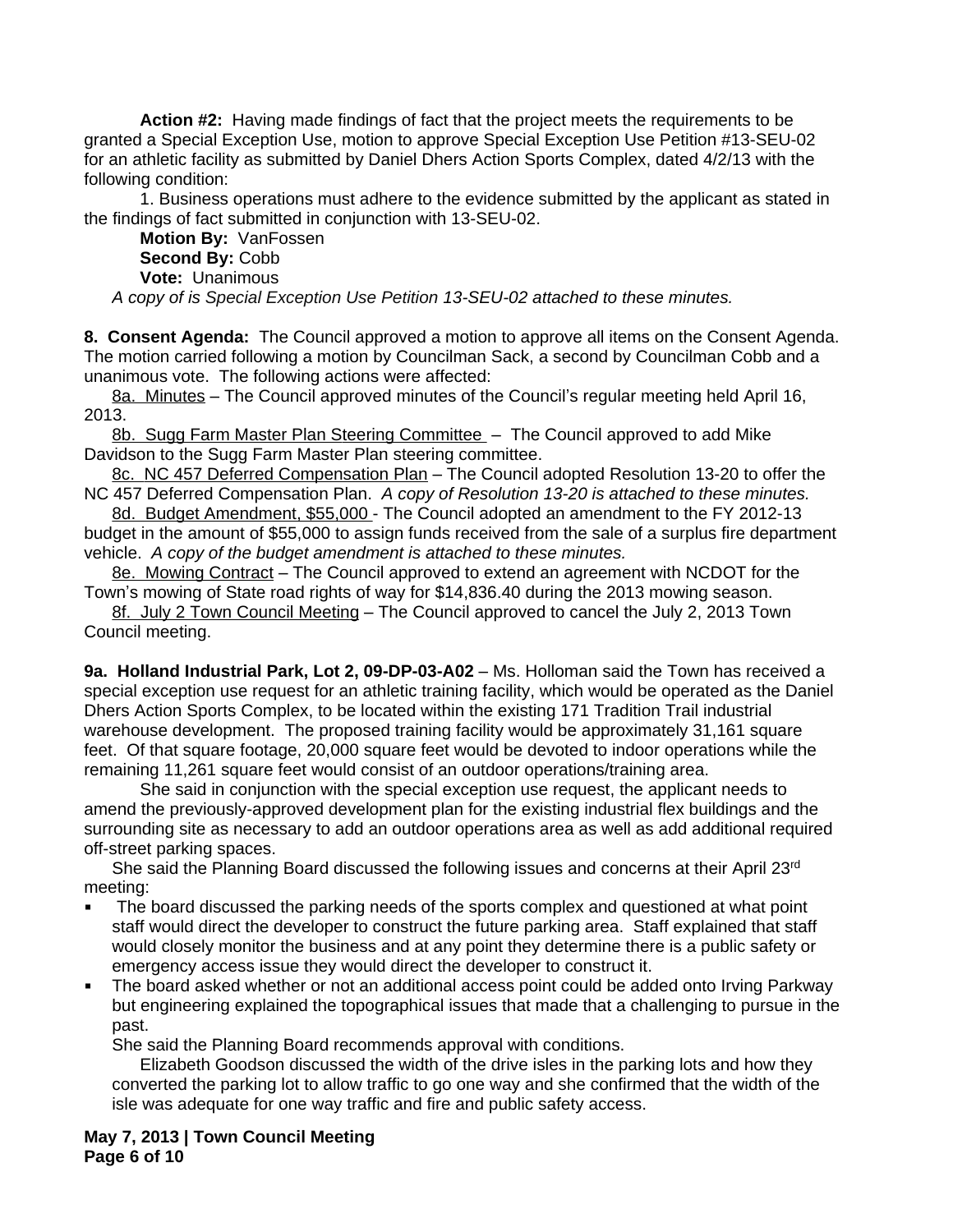**Action #2:** Having made findings of fact that the project meets the requirements to be granted a Special Exception Use, motion to approve Special Exception Use Petition #13-SEU-02 for an athletic facility as submitted by Daniel Dhers Action Sports Complex, dated 4/2/13 with the following condition:

1. Business operations must adhere to the evidence submitted by the applicant as stated in the findings of fact submitted in conjunction with 13-SEU-02.

**Motion By:** VanFossen **Second By:** Cobb **Vote:** Unanimous

*A copy of is Special Exception Use Petition 13-SEU-02 attached to these minutes.*

**8. Consent Agenda:** The Council approved a motion to approve all items on the Consent Agenda. The motion carried following a motion by Councilman Sack, a second by Councilman Cobb and a unanimous vote. The following actions were affected:

8a. Minutes – The Council approved minutes of the Council's regular meeting held April 16, 2013.

8b. Sugg Farm Master Plan Steering Committee - The Council approved to add Mike Davidson to the Sugg Farm Master Plan steering committee.

8c. NC 457 Deferred Compensation Plan – The Council adopted Resolution 13-20 to offer the NC 457 Deferred Compensation Plan. *A copy of Resolution 13-20 is attached to these minutes.*

8d. Budget Amendment, \$55,000 - The Council adopted an amendment to the FY 2012-13 budget in the amount of \$55,000 to assign funds received from the sale of a surplus fire department vehicle. *A copy of the budget amendment is attached to these minutes.*

8e. Mowing Contract - The Council approved to extend an agreement with NCDOT for the Town's mowing of State road rights of way for \$14,836.40 during the 2013 mowing season.

8f. July 2 Town Council Meeting – The Council approved to cancel the July 2, 2013 Town Council meeting.

**9a. Holland Industrial Park, Lot 2, 09-DP-03-A02** – Ms. Holloman said the Town has received a special exception use request for an athletic training facility, which would be operated as the Daniel Dhers Action Sports Complex, to be located within the existing 171 Tradition Trail industrial warehouse development. The proposed training facility would be approximately 31,161 square feet. Of that square footage, 20,000 square feet would be devoted to indoor operations while the remaining 11,261 square feet would consist of an outdoor operations/training area.

She said in conjunction with the special exception use request, the applicant needs to amend the previously-approved development plan for the existing industrial flex buildings and the surrounding site as necessary to add an outdoor operations area as well as add additional required off-street parking spaces.

She said the Planning Board discussed the following issues and concerns at their April 23rd meeting:

- The board discussed the parking needs of the sports complex and questioned at what point staff would direct the developer to construct the future parking area. Staff explained that staff would closely monitor the business and at any point they determine there is a public safety or emergency access issue they would direct the developer to construct it.
- The board asked whether or not an additional access point could be added onto Irving Parkway but engineering explained the topographical issues that made that a challenging to pursue in the past.

She said the Planning Board recommends approval with conditions.

Elizabeth Goodson discussed the width of the drive isles in the parking lots and how they converted the parking lot to allow traffic to go one way and she confirmed that the width of the isle was adequate for one way traffic and fire and public safety access.

**May 7, 2013 | Town Council Meeting Page 6 of 10**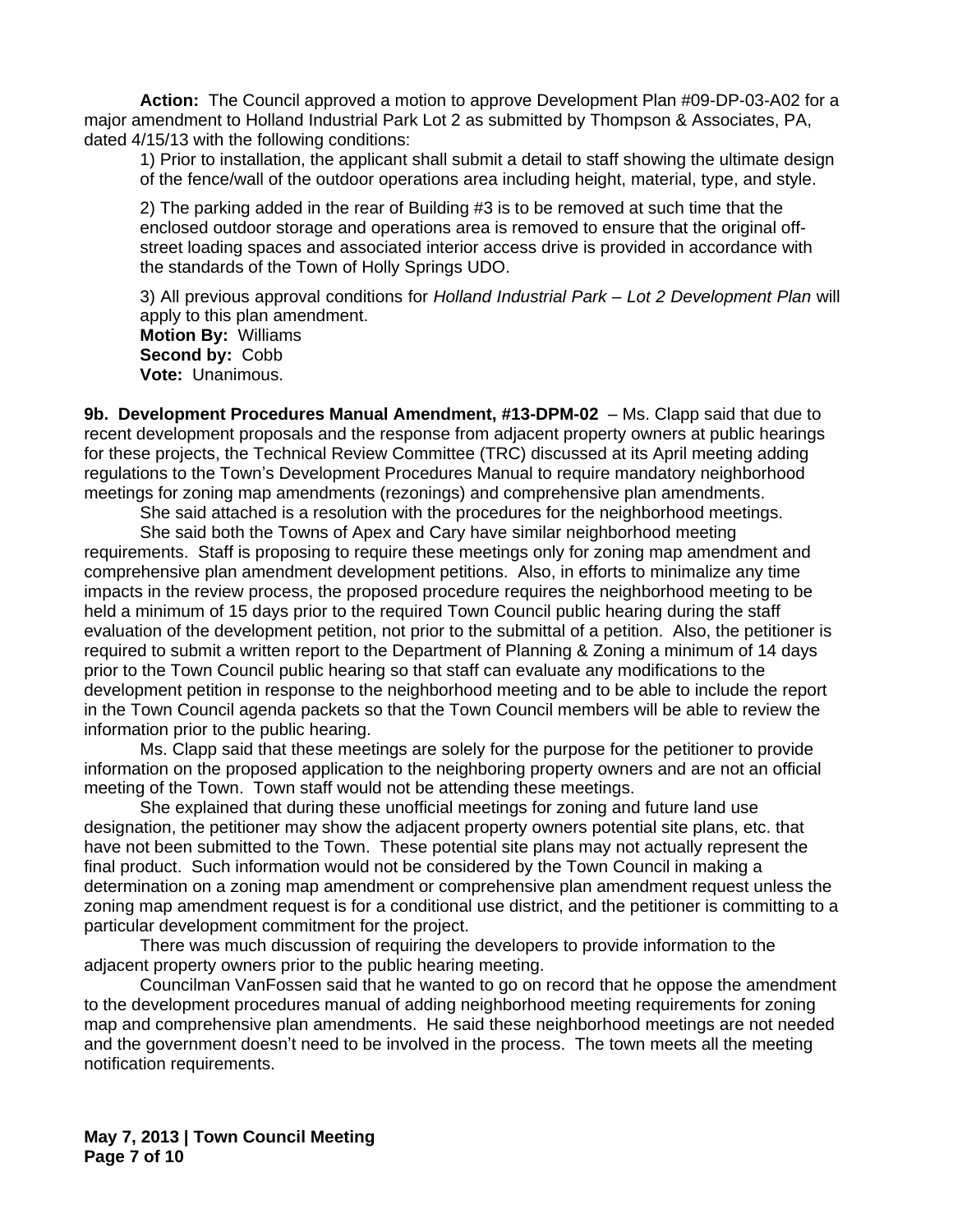**Action:** The Council approved a motion to approve Development Plan #09-DP-03-A02 for a major amendment to Holland Industrial Park Lot 2 as submitted by Thompson & Associates, PA, dated 4/15/13 with the following conditions:

1) Prior to installation, the applicant shall submit a detail to staff showing the ultimate design of the fence/wall of the outdoor operations area including height, material, type, and style.

2) The parking added in the rear of Building #3 is to be removed at such time that the enclosed outdoor storage and operations area is removed to ensure that the original offstreet loading spaces and associated interior access drive is provided in accordance with the standards of the Town of Holly Springs UDO.

3) All previous approval conditions for *Holland Industrial Park – Lot 2 Development Plan* will apply to this plan amendment. **Motion By:** Williams **Second by:** Cobb **Vote:** Unanimous.

**9b. Development Procedures Manual Amendment, #13-DPM-02** – Ms. Clapp said that due to recent development proposals and the response from adjacent property owners at public hearings for these projects, the Technical Review Committee (TRC) discussed at its April meeting adding regulations to the Town's Development Procedures Manual to require mandatory neighborhood meetings for zoning map amendments (rezonings) and comprehensive plan amendments.

She said attached is a resolution with the procedures for the neighborhood meetings.

She said both the Towns of Apex and Cary have similar neighborhood meeting requirements. Staff is proposing to require these meetings only for zoning map amendment and comprehensive plan amendment development petitions. Also, in efforts to minimalize any time impacts in the review process, the proposed procedure requires the neighborhood meeting to be held a minimum of 15 days prior to the required Town Council public hearing during the staff evaluation of the development petition, not prior to the submittal of a petition. Also, the petitioner is required to submit a written report to the Department of Planning & Zoning a minimum of 14 days prior to the Town Council public hearing so that staff can evaluate any modifications to the development petition in response to the neighborhood meeting and to be able to include the report in the Town Council agenda packets so that the Town Council members will be able to review the information prior to the public hearing.

Ms. Clapp said that these meetings are solely for the purpose for the petitioner to provide information on the proposed application to the neighboring property owners and are not an official meeting of the Town. Town staff would not be attending these meetings.

She explained that during these unofficial meetings for zoning and future land use designation, the petitioner may show the adjacent property owners potential site plans, etc. that have not been submitted to the Town. These potential site plans may not actually represent the final product. Such information would not be considered by the Town Council in making a determination on a zoning map amendment or comprehensive plan amendment request unless the zoning map amendment request is for a conditional use district, and the petitioner is committing to a particular development commitment for the project.

There was much discussion of requiring the developers to provide information to the adjacent property owners prior to the public hearing meeting.

Councilman VanFossen said that he wanted to go on record that he oppose the amendment to the development procedures manual of adding neighborhood meeting requirements for zoning map and comprehensive plan amendments. He said these neighborhood meetings are not needed and the government doesn't need to be involved in the process. The town meets all the meeting notification requirements.

**May 7, 2013 | Town Council Meeting Page 7 of 10**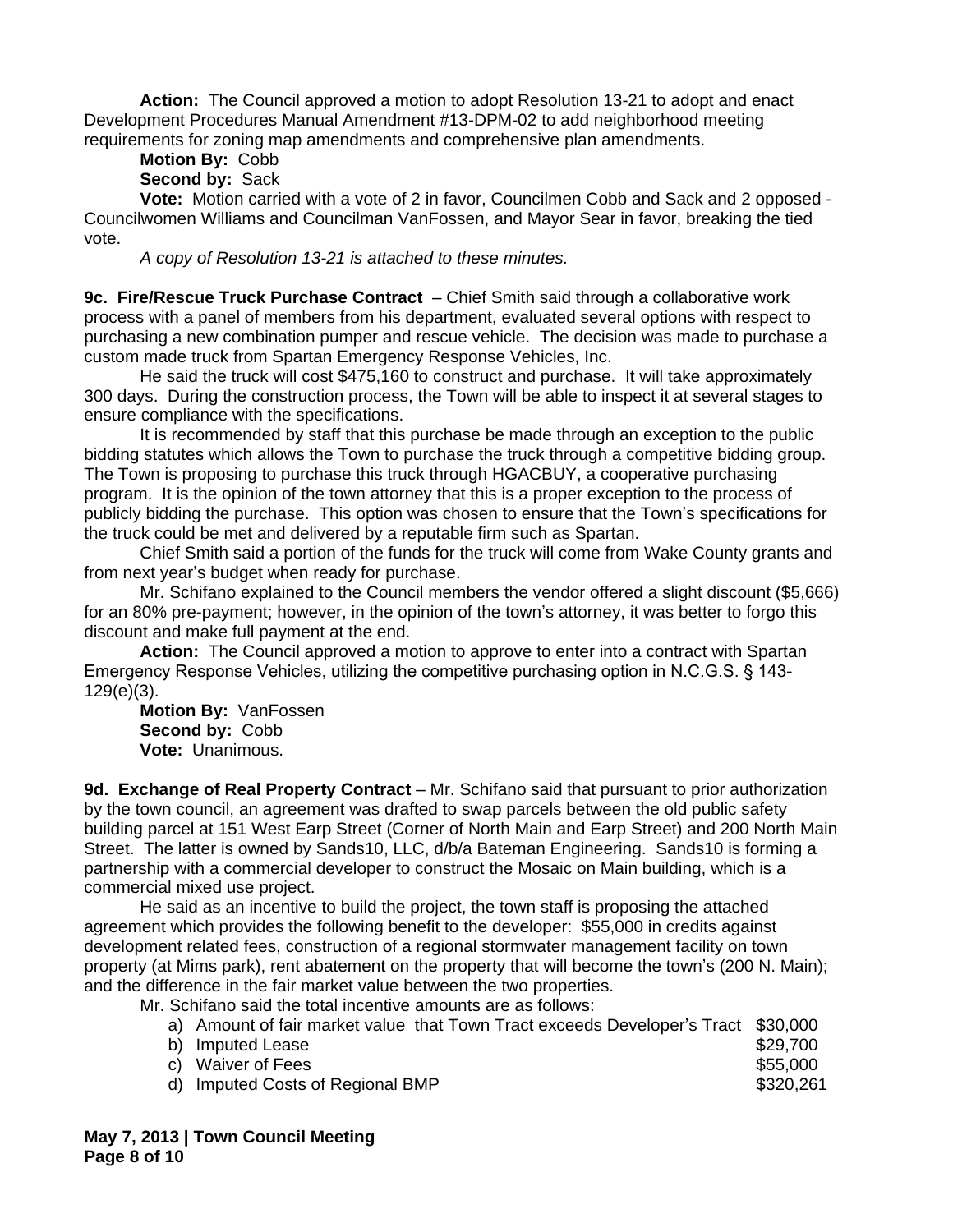**Action:** The Council approved a motion to adopt Resolution 13-21 to adopt and enact Development Procedures Manual Amendment #13-DPM-02 to add neighborhood meeting requirements for zoning map amendments and comprehensive plan amendments.

# **Motion By:** Cobb

# **Second by:** Sack

**Vote:** Motion carried with a vote of 2 in favor, Councilmen Cobb and Sack and 2 opposed - Councilwomen Williams and Councilman VanFossen, and Mayor Sear in favor, breaking the tied vote.

*A copy of Resolution 13-21 is attached to these minutes.*

**9c. Fire/Rescue Truck Purchase Contract** – Chief Smith said through a collaborative work process with a panel of members from his department, evaluated several options with respect to purchasing a new combination pumper and rescue vehicle. The decision was made to purchase a custom made truck from Spartan Emergency Response Vehicles, Inc.

He said the truck will cost \$475,160 to construct and purchase. It will take approximately 300 days. During the construction process, the Town will be able to inspect it at several stages to ensure compliance with the specifications.

It is recommended by staff that this purchase be made through an exception to the public bidding statutes which allows the Town to purchase the truck through a competitive bidding group. The Town is proposing to purchase this truck through HGACBUY, a cooperative purchasing program. It is the opinion of the town attorney that this is a proper exception to the process of publicly bidding the purchase. This option was chosen to ensure that the Town's specifications for the truck could be met and delivered by a reputable firm such as Spartan.

Chief Smith said a portion of the funds for the truck will come from Wake County grants and from next year's budget when ready for purchase.

Mr. Schifano explained to the Council members the vendor offered a slight discount (\$5,666) for an 80% pre-payment; however, in the opinion of the town's attorney, it was better to forgo this discount and make full payment at the end.

**Action:** The Council approved a motion to approve to enter into a contract with Spartan Emergency Response Vehicles, utilizing the competitive purchasing option in N.C.G.S. § 143- 129(e)(3).

**Motion By:** VanFossen **Second by:** Cobb **Vote:** Unanimous.

**9d. Exchange of Real Property Contract** – Mr. Schifano said that pursuant to prior authorization by the town council, an agreement was drafted to swap parcels between the old public safety building parcel at 151 West Earp Street (Corner of North Main and Earp Street) and 200 North Main Street. The latter is owned by Sands10, LLC, d/b/a Bateman Engineering. Sands10 is forming a partnership with a commercial developer to construct the Mosaic on Main building, which is a commercial mixed use project.

He said as an incentive to build the project, the town staff is proposing the attached agreement which provides the following benefit to the developer: \$55,000 in credits against development related fees, construction of a regional stormwater management facility on town property (at Mims park), rent abatement on the property that will become the town's (200 N. Main); and the difference in the fair market value between the two properties.

Mr. Schifano said the total incentive amounts are as follows:

|  |  |  | a) Amount of fair market value that Town Tract exceeds Developer's Tract \$30,000 |  |
|--|--|--|-----------------------------------------------------------------------------------|--|
|--|--|--|-----------------------------------------------------------------------------------|--|

| b) Imputed Lease                 | \$29,700  |
|----------------------------------|-----------|
| c) Waiver of Fees                | \$55,000  |
| d) Imputed Costs of Regional BMP | \$320,261 |

**May 7, 2013 | Town Council Meeting Page 8 of 10**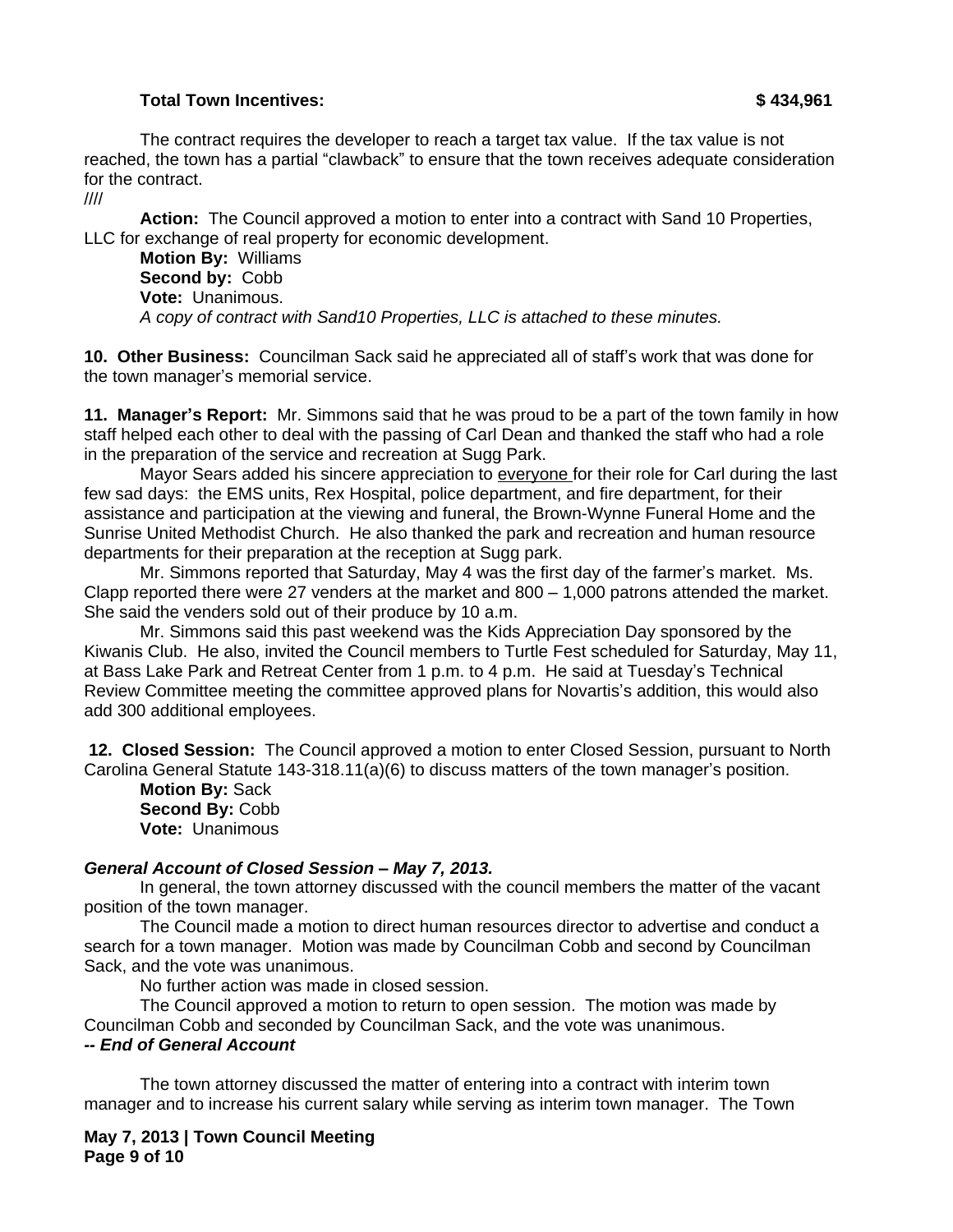### **Total Town Incentives: \$ 434,961**

The contract requires the developer to reach a target tax value. If the tax value is not reached, the town has a partial "clawback" to ensure that the town receives adequate consideration for the contract.

////

**Action:** The Council approved a motion to enter into a contract with Sand 10 Properties, LLC for exchange of real property for economic development.

**Motion By:** Williams **Second by:** Cobb **Vote:** Unanimous. *A copy of contract with Sand10 Properties, LLC is attached to these minutes.*

**10. Other Business:** Councilman Sack said he appreciated all of staff's work that was done for the town manager's memorial service.

**11. Manager's Report:** Mr. Simmons said that he was proud to be a part of the town family in how staff helped each other to deal with the passing of Carl Dean and thanked the staff who had a role in the preparation of the service and recreation at Sugg Park.

Mayor Sears added his sincere appreciation to everyone for their role for Carl during the last few sad days: the EMS units, Rex Hospital, police department, and fire department, for their assistance and participation at the viewing and funeral, the Brown-Wynne Funeral Home and the Sunrise United Methodist Church. He also thanked the park and recreation and human resource departments for their preparation at the reception at Sugg park.

Mr. Simmons reported that Saturday, May 4 was the first day of the farmer's market. Ms. Clapp reported there were 27 venders at the market and 800 – 1,000 patrons attended the market. She said the venders sold out of their produce by 10 a.m.

Mr. Simmons said this past weekend was the Kids Appreciation Day sponsored by the Kiwanis Club. He also, invited the Council members to Turtle Fest scheduled for Saturday, May 11, at Bass Lake Park and Retreat Center from 1 p.m. to 4 p.m. He said at Tuesday's Technical Review Committee meeting the committee approved plans for Novartis's addition, this would also add 300 additional employees.

**12. Closed Session:** The Council approved a motion to enter Closed Session, pursuant to North Carolina General Statute 143-318.11(a)(6) to discuss matters of the town manager's position.

**Motion By:** Sack **Second By:** Cobb **Vote:** Unanimous

#### *General Account of Closed Session – May 7, 2013.*

In general, the town attorney discussed with the council members the matter of the vacant position of the town manager.

The Council made a motion to direct human resources director to advertise and conduct a search for a town manager. Motion was made by Councilman Cobb and second by Councilman Sack, and the vote was unanimous.

No further action was made in closed session.

The Council approved a motion to return to open session. The motion was made by Councilman Cobb and seconded by Councilman Sack, and the vote was unanimous.

### *-- End of General Account*

The town attorney discussed the matter of entering into a contract with interim town manager and to increase his current salary while serving as interim town manager. The Town

**May 7, 2013 | Town Council Meeting Page 9 of 10**